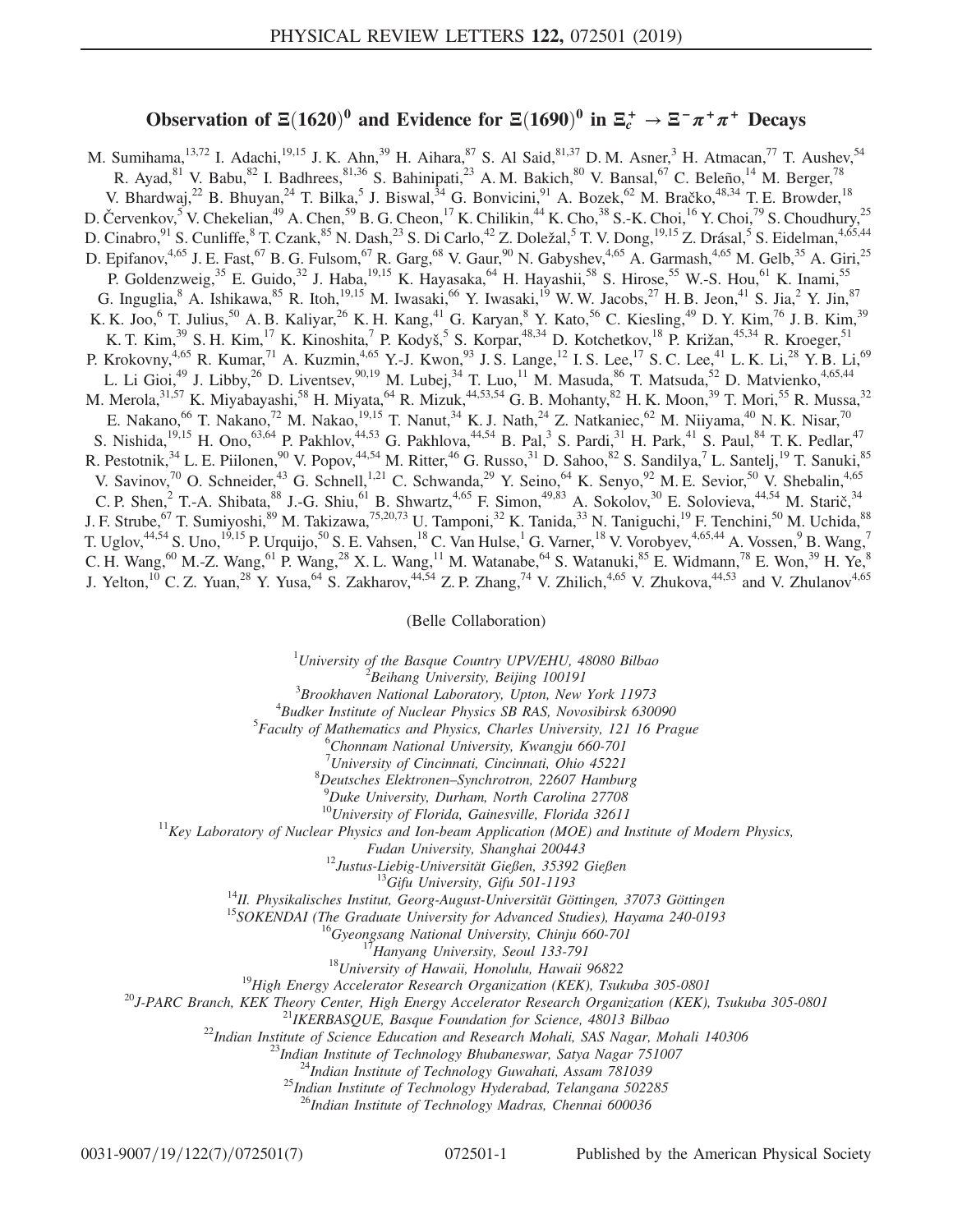## Observation of  $\Xi(1620)^0$  and Evidence for  $\Xi(1690)^0$  in  $\Xi_c^+ \to \Xi^- \pi^+ \pi^+$  Decays

M. Sumihama,  $^{13,72}$  I. Adachi,  $^{19,15}$  J. K. Ahn,  $^{39}$  H. Aihara,  $^{87}$  S. Al Said,  $^{81,37}$  D. M. Asner,  $^3$  H. Atmacan,  $^{77}$  T. Aushev,  $^{54}$ R. Ayad,  $81$  V. Babu,  $82$  I. Badhrees,  $81,36$  S. Bahinipati,  $23$  A. M. Bakich,  $80$  V. Bansal,  $67$  C. Beleño,  $14$  M. Berger,  $78$ V. Bhardwaj,<sup>22</sup> B. Bhuyan,<sup>24</sup> T. Bilka,<sup>5</sup> J. Biswal,<sup>34</sup> G. Bonvicini,<sup>91</sup> A. Bozek,<sup>62</sup> M. Bračko,<sup>48,34</sup> T. E. Browder,<sup>18</sup> D. Červenkov, <sup>5</sup> V. Chekelian, <sup>49</sup> A. Chen, <sup>59</sup> B. G. Cheon, <sup>17</sup> K. Chilikin, <sup>44</sup> K. Cho, <sup>38</sup> S.-K. Choi, <sup>16</sup> Y. Choi, <sup>79</sup> S. Choudhury, <sup>25</sup> D. Cinabro,<sup>91</sup> S. Cunliffe,<sup>8</sup> T. Czank,<sup>85</sup> N. Dash,<sup>23</sup> S. Di Carlo,<sup>42</sup> Z. Doležal,<sup>5</sup> T. V. Dong,<sup>19,15</sup> Z. Drásal,<sup>5</sup> S. Eidelman,<sup>4,65,44</sup> D. Epifanov,<sup>4,65</sup> J. E. Fast,<sup>67</sup> B. G. Fulsom,<sup>67</sup> R. Garg,<sup>68</sup> V. Gaur,<sup>90</sup> N. Gabyshev,<sup>4,65</sup> A. Garmash,<sup>4,65</sup> M. Gelb,<sup>35</sup> A. Giri,<sup>25</sup> P. Goldenzweig,<sup>35</sup> E. Guido,<sup>32</sup> J. Haba,<sup>19,15</sup> K. Hayasaka,<sup>64</sup> H. Hayashii,<sup>58</sup> S. Hirose,<sup>55</sup> W.-S. Hou,<sup>61</sup> K. Inami,<sup>55</sup> G. Inguglia,  $8$  A. Ishikawa,  $85$  R. Itoh,  $19,15$  M. Iwasaki,  $66$  Y. Iwasaki,  $19$  W. W. Jacobs,  $27$  H. B. Jeon,  $41$  S. Jia,  $2$  Y. Jin,  $87$ K. K. Joo,  $6$  T. Julius,  $50$  A. B. Kaliyar,  $26$  K. H. Kang,  $41$  G. Karyan,  $8$  Y. Kato,  $56$  C. Kiesling,  $49$  D. Y. Kim,  $76$  J. B. Kim,  $39$ K. T. Kim,<sup>39</sup> S. H. Kim,<sup>17</sup> K. Kinoshita,<sup>7</sup> P. Kodyš,<sup>5</sup> S. Korpar,<sup>48,34</sup> D. Kotchetkov,<sup>18</sup> P. Križan,<sup>45,34</sup> R. Kroeger,<sup>51</sup> P. Krokovny,<sup>4,65</sup> R. Kumar,<sup>71</sup> A. Kuzmin,<sup>4,65</sup> Y.-J. Kwon,<sup>93</sup> J. S. Lange,<sup>12</sup> I. S. Lee,<sup>17</sup> S. C. Lee,<sup>41</sup> L. K. Li,<sup>28</sup> Y. B. Li,<sup>69</sup> L. Li Gioi,<sup>49</sup> J. Libby,<sup>26</sup> D. Liventsev,<sup>90,19</sup> M. Lubej,<sup>34</sup> T. Luo,<sup>11</sup> M. Masuda,<sup>86</sup> T. Matsuda,<sup>52</sup> D. Matvienko,<sup>4,65,44</sup> M. Merola,<sup>31,57</sup> K. Miyabayashi,<sup>58</sup> H. Miyata,<sup>64</sup> R. Mizuk,<sup>44,53,54</sup> G. B. Mohanty,<sup>82</sup> H. K. Moon,<sup>39</sup> T. Mori,<sup>55</sup> R. Mussa,<sup>32</sup> E. Nakano,<sup>66</sup> T. Nakano,<sup>72</sup> M. Nakao,<sup>19,15</sup> T. Nanut,<sup>34</sup> K. J. Nath,<sup>24</sup> Z. Natkaniec,<sup>62</sup> M. Niiyama,<sup>40</sup> N. K. Nisar,<sup>70</sup> S. Nishida,  $^{19,15}$  H. Ono,  $^{63,64}$  P. Pakhlov,  $^{44,53}$  G. Pakhlova,  $^{44,54}$  B. Pal,  $^3$  S. Pardi,  $^{31}$  H. Park,  $^{41}$  S. Paul,  $^{84}$  T. K. Pedlar,  $^{47}$ R. Pestotnik,<sup>34</sup> L. E. Piilonen,<sup>90</sup> V. Popov,<sup>44,54</sup> M. Ritter,<sup>46</sup> G. Russo,<sup>31</sup> D. Sahoo,<sup>82</sup> S. Sandilya,<sup>7</sup> L. Santelj,<sup>19</sup> T. Sanuki,<sup>85</sup> V. Savinov,<sup>70</sup> O. Schneider,<sup>43</sup> G. Schnell,<sup>1,21</sup> C. Schwanda,<sup>29</sup> Y. Seino,<sup>64</sup> K. Senyo,<sup>92</sup> M. E. Sevior,<sup>50</sup> V. Shebalin,<sup>4,65</sup> C. P. Shen,  $2$  T.-A. Shibata,  $88$  J.-G. Shiu,  $61$  B. Shwartz,  $4.65$  F. Simon,  $49.83$  A. Sokolov,  $30$  E. Solovieva,  $44.54$  M. Starič,  $34$ J. F. Strube, <sup>67</sup> T. Sumiyoshi, <sup>89</sup> M. Takizawa, <sup>75,20,73</sup> U. Tamponi, <sup>32</sup> K. Tanida, <sup>33</sup> N. Taniguchi, <sup>19</sup> F. Tenchini, <sup>50</sup> M. Uchida, <sup>88</sup> T. Uglov, $^{44,54}$  S. Uno, $^{19,15}$  P. Urquijo, $^{50}$  S. E. Vahsen, $^{18}$  C. Van Hulse, $^1$  G. Varner, $^{18}$  V. Vorobyev, $^{4,65,44}$  A. Vossen, $^9$  B. Wang, $^7$ C. H. Wang,<sup>60</sup> M.-Z. Wang,<sup>61</sup> P. Wang,<sup>28</sup> X. L. Wang,<sup>11</sup> M. Watanabe,<sup>64</sup> S. Watanuki,<sup>85</sup> E. Widmann,<sup>78</sup> E. Won,<sup>39</sup> H. Ye,<sup>8</sup> J. Yelton,<sup>10</sup> C. Z. Yuan,<sup>28</sup> Y. Yusa,<sup>64</sup> S. Zakharov,<sup>44,54</sup> Z. P. Zhang,<sup>74</sup> V. Zhilich,<sup>4,65</sup> V. Zhukova,<sup>44,53</sup> and V. Zhulanov<sup>4,65</sup>

## (Belle Collaboration)

<sup>1</sup>University of the Basque Country UPV/EHU, 48080 Bilbao  $\frac{2 \text{ B} \text{g}}{2 \text{ B} \text{g}}$  Library University, Bailing 100101

 ${}^{2}$ Beihang University, Beijing 100191

 $3B$ rookhaven National Laboratory, Upton, New York 11973

 ${}^{4}$ Budker Institute of Nuclear Physics SB RAS, Novosibirsk 630090

 ${}^{5}$ Faculty of Mathematics and Physics, Charles University, 121 16 Prague

Chonnam National University, Kwangju 660-701

<sup>7</sup> University of Cincinnati, Cincinnati, Ohio 45221<sup>8</sup> Dautsches, Elektronan, Synghretran, 22607, Hambu-

 ${}^{8}$ Deutsches Elektronen–Synchrotron, 22607 Hamburg

<sup>9</sup>Duke University, Durham, North Carolina 27708<br><sup>10</sup>University of Florida, Gainesville, Florida 32611

 $11$ Key Laboratory of Nuclear Physics and Ion-beam Application (MOE) and Institute of Modern Physics,

Fudan University, Shanghai 200443<br>
<sup>12</sup>Justus-Liebig-University, Gifu 501-1193<br>
<sup>13</sup>Hustus-Liniversity Gifu 501-1193<br>
<sup>14</sup>H. Physikalisches Institut, Georg-August-Universität Göttingen, 37073 Göttingen<br>
<sup>15</sup>SOKENDAI (The

<sup>26</sup>Indian Institute of Technology Madras, Chennai 600036

0031-9007/19/122(7)/072501(7) 072501-1 Published by the American Physical Society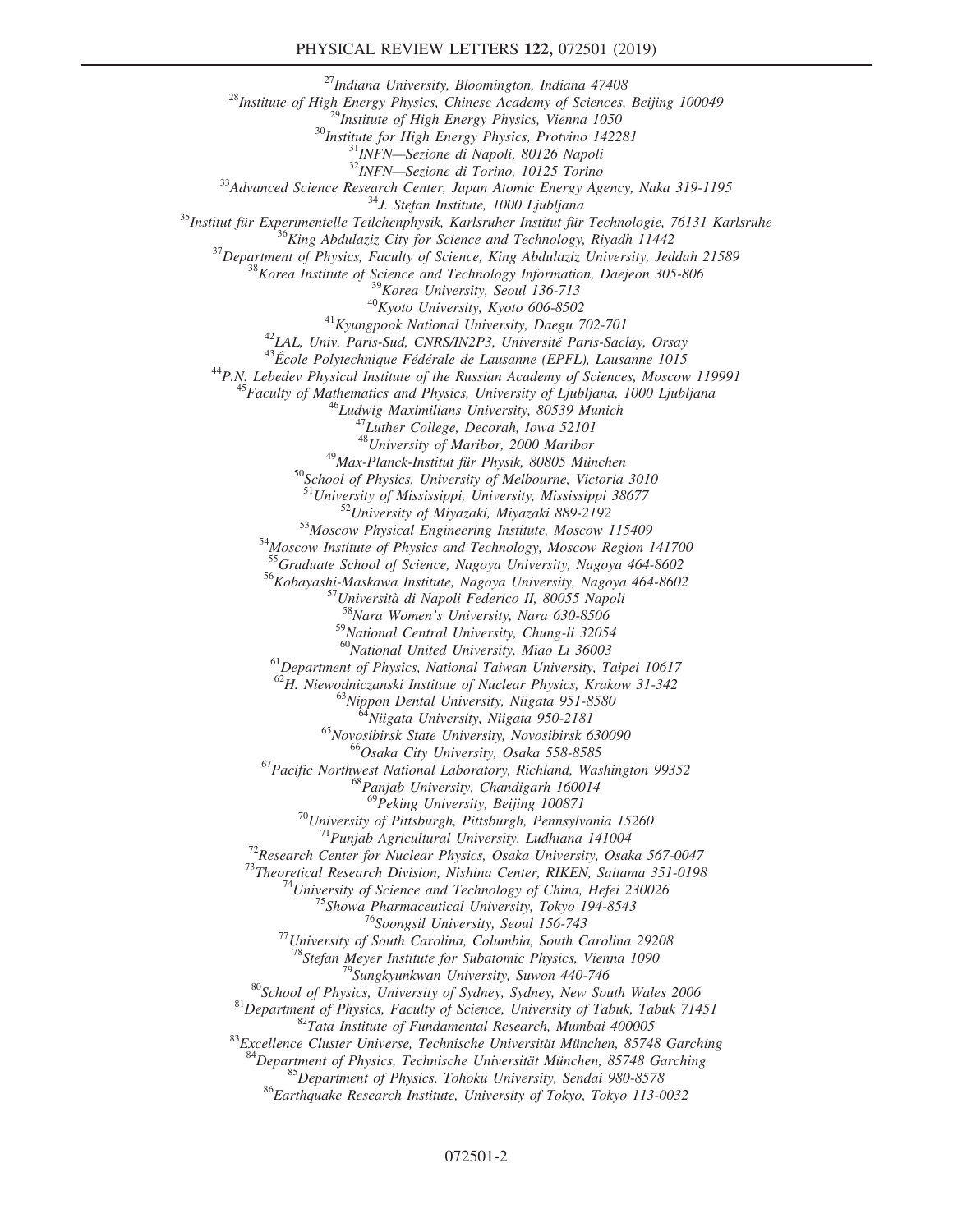$\begin{tabular}{c} \multicolumn{4}{c}{ \begin{tabular}{c} \multicolumn{2}{c}{ \multicolumn{2}{c}{ \multicolumn{2}{c}{ \multicolumn{2}{c}{ \multicolumn{2}{c}{ \multicolumn{2}{c}{ \multicolumn{2}{c}{ \multicolumn{2}{c}{ \multicolumn{2}{c}{ \multicolumn{2}{c}{ \multicolumn{2}{c}{ \multicolumn{2}{c}{ \multicolumn{2}{c}{ \multicolumn{2}{c}{ \multicolumn{2}{c}{ \multicolumn{2}{c}{ \multicolumn{2}{c}{ \multicolumn{2}{c}{ \multicolumn{2}{c}{ \multicolumn{2}{c}{ \multicolumn{2}{c}{ \multicolumn{2$ <sup>47</sup>Luther College, Decorah, Iowa 52101<br><sup>48</sup>University of Maribor, 2000 Maribor<br><sup>49</sup>Max-Planck-Institut für Physik, 80805 München<br><sup>50</sup>School of Physics, University of Melbourne, Victoria 3010<br><sup>51</sup>University of Mississippi <sup>52</sup>University of Miyazaki, Miyazaki 889-2192<br><sup>53</sup>Moscow Physical Engineering Institute, Moscow 115409<br><sup>54</sup>Moscow Institute of Physics and Technology, Moscow Region 141700<br><sup>55</sup>Graduate School of Science, Nagoya University <sup>56</sup>Kobayashi-Maskawa Institute, Nagoya University, Nagoya 464-8602<br><sup>57</sup>Università di Napoli Federico II, 80055 Napoli<br><sup>58</sup>Nara Women's University, Nara 630-8506  $^{59}$ National Central University, Chung-li 32054<br> $^{60}$ National United University, Miao Li 36003 <sup>61</sup>Department of Physics, National Taiwan University, Taipei 10617<br><sup>62</sup>H. Niewodniczanski Institute of Nuclear Physics, Krakow 31-342 <sup>63</sup>Nippon Dental University, Niigata 951-8580<br><sup>64</sup>Niigata University, Niigata 950-2181<br><sup>65</sup>Novosibirsk State University, Novosibirsk 630090<br><sup>66</sup>Osaka City University, Osaka 558-8585<br><sup>67</sup>Pacific Northwest National Laborat <sup>70</sup>University of Pittsburgh, Pittsburgh, Pennsylvania 15260<br><sup>71</sup>Punjab Agricultural University, Ludhiana 141004<br><sup>72</sup>Research Center for Nuclear Physics, Osaka University, Osaka 567-0047<br><sup>73</sup>Theoretical Research Division, <sup>79</sup>Sungkyunkwan University, Suwon 440-746<br><sup>80</sup>School of Physics, University of Sydney, Sydney, New South Wales 2006<br><sup>81</sup>Department of Physics, Faculty of Science, University of Tabuk, Tabuk 71451<br><sup>82</sup>Tata Institute of Fu <sup>84</sup>Department of Physics, Technische Universität München, 85748 Garching  $^{85}$ Department of Physics, Tohoku University, Sendai 980-8578  $^{86}$ Earthquake Research Institute, University of Tokyo, Tokyo 113-0032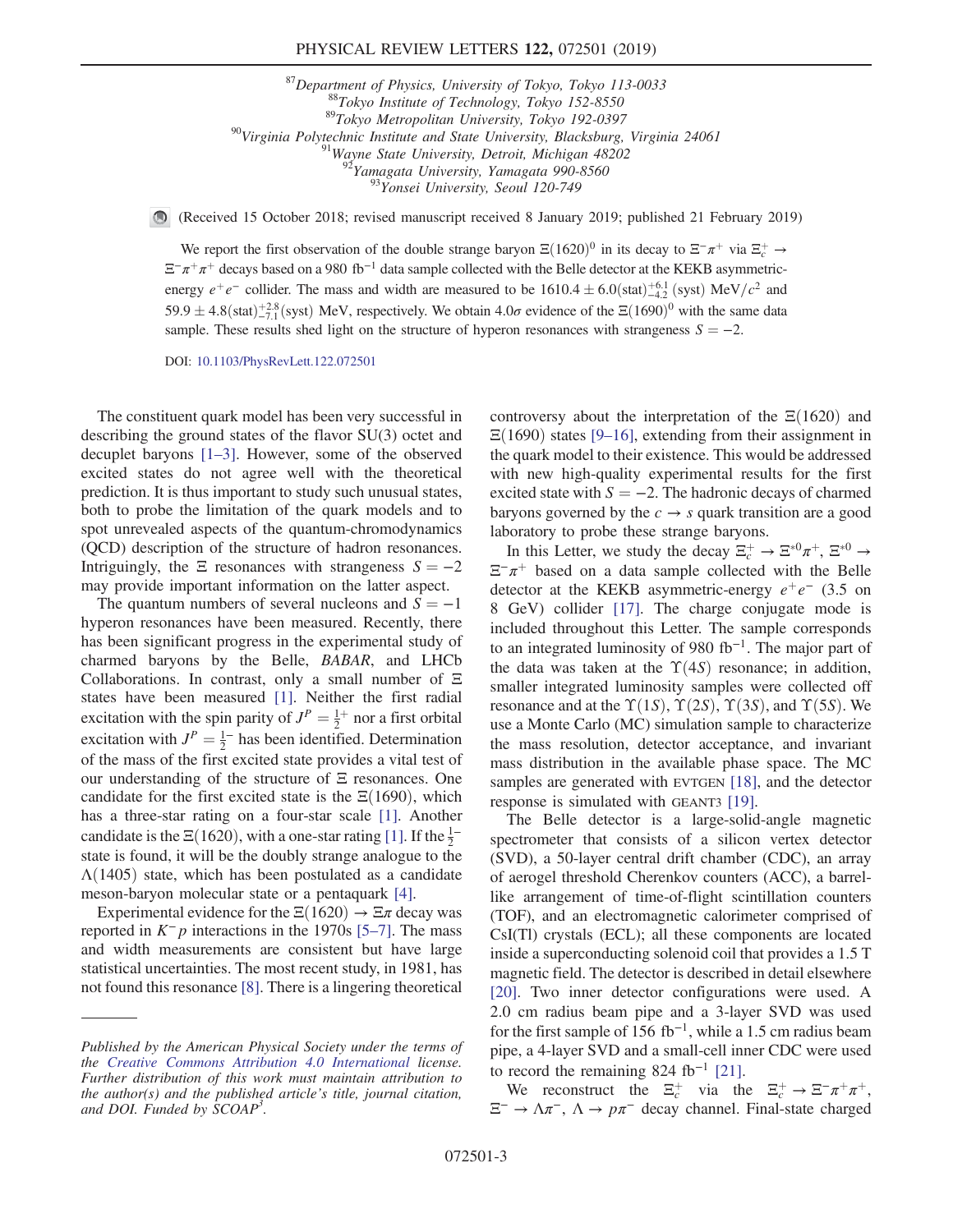<sup>87</sup>Department of Physics, University of Tokyo, Tokyo 113-0033<br><sup>88</sup>Tokyo Institute of Technology, Tokyo 152-8550<br><sup>89</sup>Tokyo Metropolitan University, Tokyo 192-0397<br><sup>90</sup>Virginia Polytechnic Institute and State University, B

(Received 15 October 2018; revised manuscript received 8 January 2019; published 21 February 2019)

We report the first observation of the double strange baryon  $\Xi(1620)^0$  in its decay to  $\Xi^-\pi^+$  via  $\Xi_c^+ \to \Xi^+$  decays head on a 080 th−l deta cannon sollogized with the Balla detactor at the KEKB essempation  $\Xi^-\pi^+\pi^+$  decays based on a 980 fb<sup>-1</sup> data sample collected with the Belle detector at the KEKB asymmetricenergy  $e^+e^-$  collider. The mass and width are measured to be  $1610.4 \pm 6.0$  (stat) $^{+6.1}_{-6.1}$  (syst) MeV/ $c^2$  and  $50.0$  + 4.2  $\left(\frac{1}{20.00} + \frac{1}{2.8}$  (syst) MeV/ $^{+2.8}_{-1.6}$  (system). MeV/s are extincted We althi  $59.9 \pm 4.8$ (stat) $\pm^{2.8}_{-7.1}$ (syst) MeV, respectively. We obtain  $4.0\sigma$  evidence of the  $\Xi(1690)^0$  with the same data sample. These results shed light on the structure of hyperon resonances with strangeness  $S = -2$ .

DOI: [10.1103/PhysRevLett.122.072501](https://doi.org/10.1103/PhysRevLett.122.072501)

The constituent quark model has been very successful in describing the ground states of the flavor SU(3) octet and decuplet baryons [1–[3\].](#page-5-0) However, some of the observed excited states do not agree well with the theoretical prediction. It is thus important to study such unusual states, both to probe the limitation of the quark models and to spot unrevealed aspects of the quantum-chromodynamics (QCD) description of the structure of hadron resonances. Intriguingly, the  $\Xi$  resonances with strangeness  $S = -2$ may provide important information on the latter aspect.

The quantum numbers of several nucleons and  $S = -1$ hyperon resonances have been measured. Recently, there has been significant progress in the experimental study of charmed baryons by the Belle, BABAR, and LHCb Collaborations. In contrast, only a small number of Ξ states have been measured [\[1\]](#page-5-0). Neither the first radial excitation with the spin parity of  $J^P = \frac{1}{2}^+$  nor a first orbital<br>excitation with  $J^P = \frac{1}{2}^-$  has been identified. Determination excitation with  $J^P = \frac{1}{2}^-$  has been identified. Determination<br>of the mass of the first excited state provides a vital test of of the mass of the first excited state provides a vital test of our understanding of the structure of Ξ resonances. One candidate for the first excited state is the  $\Xi(1690)$ , which has a three-star rating on a four-star scale [\[1\]](#page-5-0). Another candidate is the  $\Xi(1620)$ , with a one-star rating [\[1\]](#page-5-0). If the  $\frac{1}{2}$ <sup>–</sup> state is found, it will be the doubly strange analogue to the  $\Lambda(1405)$  state, which has been postulated as a candidate meson-baryon molecular state or a pentaquark [\[4\]](#page-5-1).

Experimental evidence for the  $\Xi(1620) \rightarrow \Xi \pi$  decay was reported in  $K^-p$  interactions in the 1970s [5–[7\].](#page-5-2) The mass and width measurements are consistent but have large statistical uncertainties. The most recent study, in 1981, has not found this resonance [\[8\].](#page-5-3) There is a lingering theoretical controversy about the interpretation of the  $\Xi(1620)$  and  $\Xi(1690)$  states [9–[16\]](#page-5-4), extending from their assignment in the quark model to their existence. This would be addressed with new high-quality experimental results for the first excited state with  $S = -2$ . The hadronic decays of charmed baryons governed by the  $c \rightarrow s$  quark transition are a good laboratory to probe these strange baryons.

In this Letter, we study the decay  $\Xi_c^+ \to \Xi^{*0} \pi^+$ ,  $\Xi^{*0} \to$  $\Xi^-\pi^+$  based on a data sample collected with the Belle detector at the KEKB asymmetric-energy  $e^+e^-$  (3.5 on 8 GeV) collider [\[17\]](#page-5-5). The charge conjugate mode is included throughout this Letter. The sample corresponds to an integrated luminosity of 980 fb<sup>−</sup><sup>1</sup>. The major part of the data was taken at the  $\Upsilon(4S)$  resonance; in addition, smaller integrated luminosity samples were collected off resonance and at the  $\Upsilon(1S)$ ,  $\Upsilon(2S)$ ,  $\Upsilon(3S)$ , and  $\Upsilon(5S)$ . We use a Monte Carlo (MC) simulation sample to characterize the mass resolution, detector acceptance, and invariant mass distribution in the available phase space. The MC samples are generated with EVTGEN [\[18\],](#page-6-0) and the detector response is simulated with GEANT3 [\[19\].](#page-6-1)

The Belle detector is a large-solid-angle magnetic spectrometer that consists of a silicon vertex detector (SVD), a 50-layer central drift chamber (CDC), an array of aerogel threshold Cherenkov counters (ACC), a barrellike arrangement of time-of-flight scintillation counters (TOF), and an electromagnetic calorimeter comprised of CsI(Tl) crystals (ECL); all these components are located inside a superconducting solenoid coil that provides a 1.5 T magnetic field. The detector is described in detail elsewhere [\[20\]](#page-6-2). Two inner detector configurations were used. A 2.0 cm radius beam pipe and a 3-layer SVD was used for the first sample of 156 fb<sup>-1</sup>, while a 1.5 cm radius beam pipe, a 4-layer SVD and a small-cell inner CDC were used to record the remaining 824 fb<sup>-1</sup> [\[21\].](#page-6-3)

We reconstruct the  $\Xi_c^+$  via the  $\Xi_c^+ \to \Xi^- \pi^+ \pi^+$ ,  $\Xi^-$  →  $\Lambda \pi^-$ ,  $\Lambda \to p \pi^-$  decay channel. Final-state charged

Published by the American Physical Society under the terms of the [Creative Commons Attribution 4.0 International](https://creativecommons.org/licenses/by/4.0/) license. Further distribution of this work must maintain attribution to the author(s) and the published article's title, journal citation, and DOI. Funded by SCOAP<sup>3</sup>.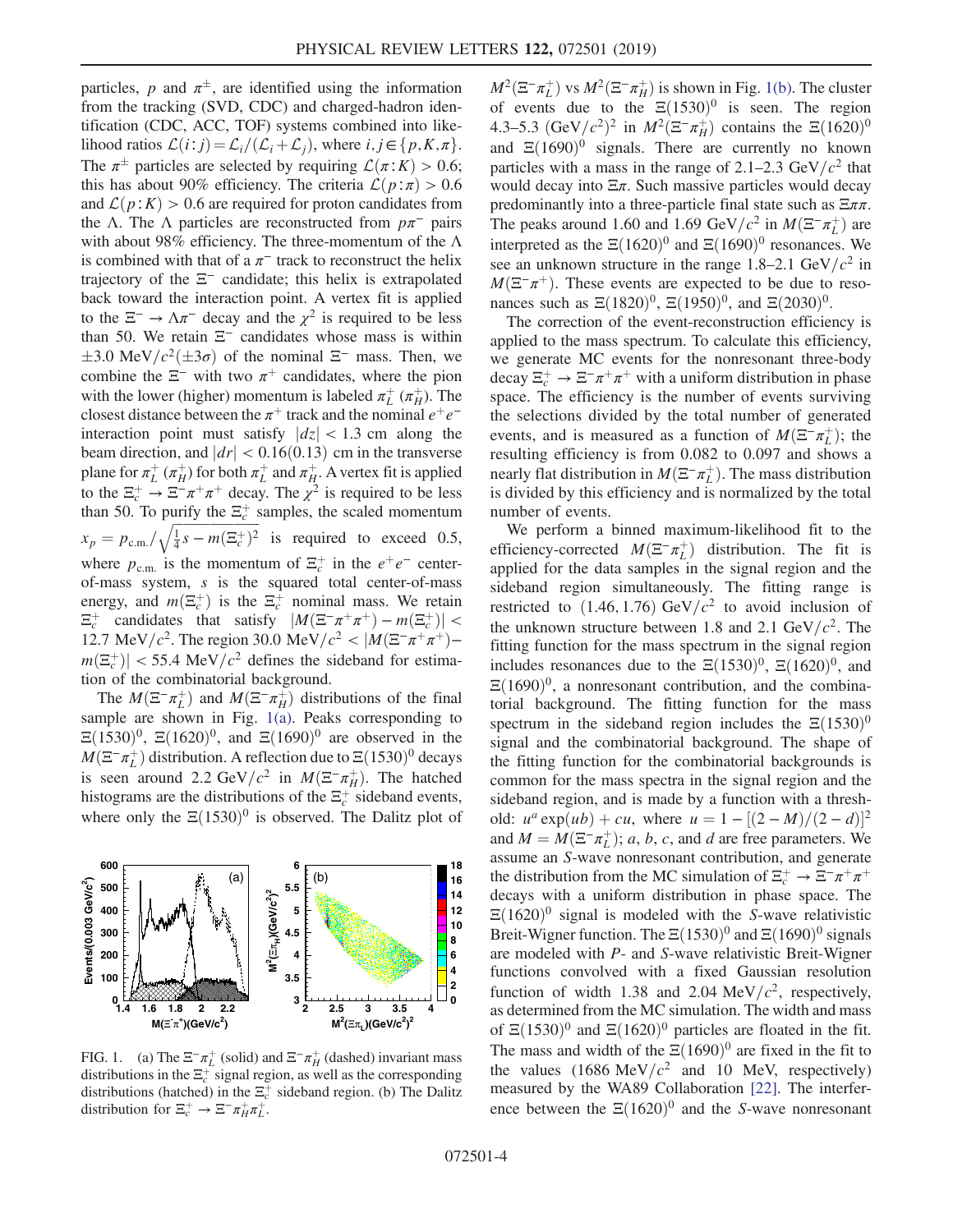particles, p and  $\pi^{\pm}$ , are identified using the information from the tracking (SVD, CDC) and charged-hadron identification (CDC, ACC, TOF) systems combined into likelihood ratios  $\mathcal{L}(i:j) = \mathcal{L}_i/(\mathcal{L}_i+\mathcal{L}_i)$ , where  $i, j \in \{p, K, \pi\}.$ The  $\pi^{\pm}$  particles are selected by requiring  $\mathcal{L}(\pi; K) > 0.6$ ;<br>this has about 90% efficiency. The criteria  $\mathcal{L}(n^*\pi) > 0.6$ this has about 90% efficiency. The criteria  $\mathcal{L}(p:\pi) > 0.6$ and  $\mathcal{L}(p:K) > 0.6$  are required for proton candidates from the Λ. The Λ particles are reconstructed from  $p\pi^-$  pairs with about 98% efficiency. The three-momentum of the  $\Lambda$ is combined with that of a  $\pi^-$  track to reconstruct the helix trajectory of the  $\Xi^-$  candidate; this helix is extrapolated back toward the interaction point. A vertex fit is applied to the  $\Xi^-$  →  $\Lambda \pi^-$  decay and the  $\chi^2$  is required to be less than 50. We retain  $\Xi^-$  candidates whose mass is within combine the  $\Xi^-$  with two  $\pi^+$  candidates, where the pion 3.0 MeV/ $c^2$ ( $\pm$ 3 $\sigma$ ) of the nominal  $\Xi^-$  mass. Then, we where the  $\Xi^-$  with two  $\pi^+$  candidates where the nion with the lower (higher) momentum is labeled  $\pi_L^+$  ( $\pi_H^+$ ). The closest distance between the  $\pi^+$  track and the nominal  $e^+e^$ interaction point must satisfy  $|dz| < 1.3$  cm along the beam direction, and  $|dr| < 0.16(0.13)$  cm in the transverse plane for  $\pi_L^+$  ( $\pi_H^+$ ) for both  $\pi_L^+$  and  $\pi_H^+$ . A vertex fit is applied to the  $\Xi_c^+ \to \Xi^- \pi^+ \pi^+$  decay. The  $\chi^2$  is required to be less than 50. To purify the  $\Xi_c^+$  samples, the scaled momentum  $x_p = p_{\text{c.m.}} / \sqrt{\frac{1}{4}} s - m(\Xi_c^+)^2$  is required to exceed 0.5, where  $p_{\text{c.m.}}$  is the momentum of  $\Xi_c^+$  in the  $e^+e^-$  centerof-mass system, s is the squared total center-of-mass energy, and  $m(\Xi_c^+)$  is the  $\Xi_c^+$  nominal mass. We retain  $\Xi_c^+$  candidates that satisfy  $|M(\Xi^-\pi^+\pi^+) - m(\Xi^+)| <$  $\Xi_c^+$  candidates that satisfy  $|M(\Xi^-\pi^+\pi^+) - m(\Xi_c^+)| <$  12.7 MeV/c<sup>2</sup>. The region 30.0 MeV/c<sup>2</sup> <  $|M(\Xi^-\pi^+\pi^+)-$ 12.7 MeV/c<sup>2</sup>. The region 30.0 MeV/c<sup>2</sup> <  $|M(\Xi^-\pi^+\pi^+)$  $m(\Xi_c^+)| < 55.4 \text{ MeV}/c^2$  defines the sideband for estimation of the combinatorial background tion of the combinatorial background.

The  $M(\Xi^-\pi_L^+)$  and  $M(\Xi^-\pi_H^+)$  distributions of the final<br>mple are shown in Fig. 1(a) Peaks corresponding to sample are shown in Fig. [1\(a\)](#page-3-0). Peaks corresponding to  $\Xi(1530)^0$ ,  $\Xi(1620)^0$ , and  $\Xi(1690)^0$  are observed in the  $M(\Xi^-\pi^+_{\perp})$  distribution. A reflection due to  $\Xi(1530)^0$  decays<br>is seen around 2.2 GeV/ $c^2$  in  $M(\Xi^-\pi^+)$ . The hatched is seen around 2.2 GeV/ $c^2$  in  $M(\Xi^-\pi_H^+)$ . The hatched<br>histograms are the distributions of the  $\Xi^+$  sideband events histograms are the distributions of the  $\Xi_c^+$  sideband events, where only the  $\Xi(1530)^0$  is observed. The Dalitz plot of

<span id="page-3-0"></span>

FIG. 1. (a) The  $\Xi^- \pi_L^+$  (solid) and  $\Xi^- \pi_H^+$  (dashed) invariant mass distributions in the  $\Xi_c^+$  signal region, as well as the corresponding distributions (hatched) in the  $\Xi_c^+$  sideband region. (b) The Dalitz distribution for  $\Xi_c^+ \to \Xi^- \pi_H^+ \pi_L^+$ .

 $M^2(\Xi^-\pi_L^+)$  vs  $M^2(\Xi^-\pi_H^+)$  is shown in Fig. [1\(b\).](#page-3-0) The cluster<br>of events due to the  $\Xi(1530)^0$  is seen. The region of events due to the  $\Xi(1530)^0$  is seen. The region 4.3–5.3  $\left(\frac{GeV}{c^2}\right)^2$  in  $M^2\left(\frac{E}{c}\right)$  contains the  $\Xi(1620)^0$ <br>and  $\Xi(1690)^0$  signals. There are currently no known and  $\Xi(1690)^0$  signals. There are currently no known particles with a mass in the range of 2.1–2.3 GeV/ $c^2$  that would decay into  $\Xi \pi$ . Such massive particles would decay predominantly into a three-particle final state such as  $\Xi \pi \pi$ . The peaks around 1.60 and 1.69 GeV/ $c^2$  in  $M(\Xi^-\pi_L^+)$  are<br>interpreted as the  $\Xi(1620)^0$  and  $\Xi(1690)^0$  resonances. We interpreted as the  $\Xi(1620)^{0}$  and  $\Xi(1690)^{0}$  resonances. We see an unknown structure in the range 1.8–2.1 GeV/ $c^2$  in  $M(\Xi^-\pi^+)$ . These events are expected to be due to resonances such as  $\Xi(1820)^0$ ,  $\Xi(1950)^0$ , and  $\Xi(2030)^0$ .

The correction of the event-reconstruction efficiency is applied to the mass spectrum. To calculate this efficiency, we generate MC events for the nonresonant three-body decay  $\Xi_c^+ \to \Xi^- \pi^+ \pi^+$  with a uniform distribution in phase space. The efficiency is the number of events surviving the selections divided by the total number of generated events, and is measured as a function of  $M(\Xi^-\pi_L^+)$ ; the resulting efficiency is from 0.082 to 0.097 and shows a resulting efficiency is from 0.082 to 0.097 and shows a nearly flat distribution in  $M(\Xi^-\pi_L^+)$ . The mass distribution<br>is divided by this efficiency and is normalized by the total is divided by this efficiency and is normalized by the total number of events.

We perform a binned maximum-likelihood fit to the efficiency-corrected  $M(\Xi^-\pi_L^+)$  distribution. The fit is<br>annelied for the data samples in the signal region and the applied for the data samples in the signal region and the sideband region simultaneously. The fitting range is restricted to  $(1.46, 1.76)$  GeV/ $c<sup>2</sup>$  to avoid inclusion of the unknown structure between 1.8 and 2.1 GeV/ $c^2$ . The fitting function for the mass spectrum in the signal region includes resonances due to the  $\Xi(1530)^0$ ,  $\Xi(1620)^0$ , and  $\Xi(1690)^0$ , a nonresonant contribution, and the combinatorial background. The fitting function for the mass spectrum in the sideband region includes the  $\Xi(1530)^0$ signal and the combinatorial background. The shape of the fitting function for the combinatorial backgrounds is common for the mass spectra in the signal region and the sideband region, and is made by a function with a threshold:  $u^a \exp(u b) + c u$ , where  $u = 1 - [(2 - M)/(2 - d)]^2$ and  $M = M(\Xi^-\pi^+_{L}); a, b, c$ , and d are free parameters. We assume an S-wave nonresonant contribution, and generate assume an S-wave nonresonant contribution, and generate the distribution from the MC simulation of  $\Xi_c^+ \to \Xi^- \pi^+ \pi^+$ decays with a uniform distribution in phase space. The  $\Xi(1620)^{0}$  signal is modeled with the S-wave relativistic Breit-Wigner function. The  $\Xi(1530)^{0}$  and  $\Xi(1690)^{0}$  signals are modeled with P- and S-wave relativistic Breit-Wigner functions convolved with a fixed Gaussian resolution function of width 1.38 and 2.04 MeV/ $c^2$ , respectively, as determined from the MC simulation. The width and mass of  $\Xi(1530)^{0}$  and  $\Xi(1620)^{0}$  particles are floated in the fit. The mass and width of the  $\Xi(1690)^{0}$  are fixed in the fit to the values  $(1686 \text{ MeV}/c^2 \text{ and } 10 \text{ MeV}, \text{ respectively})$ measured by the WA89 Collaboration [\[22\]](#page-6-4). The interference between the  $\Xi(1620)^0$  and the S-wave nonresonant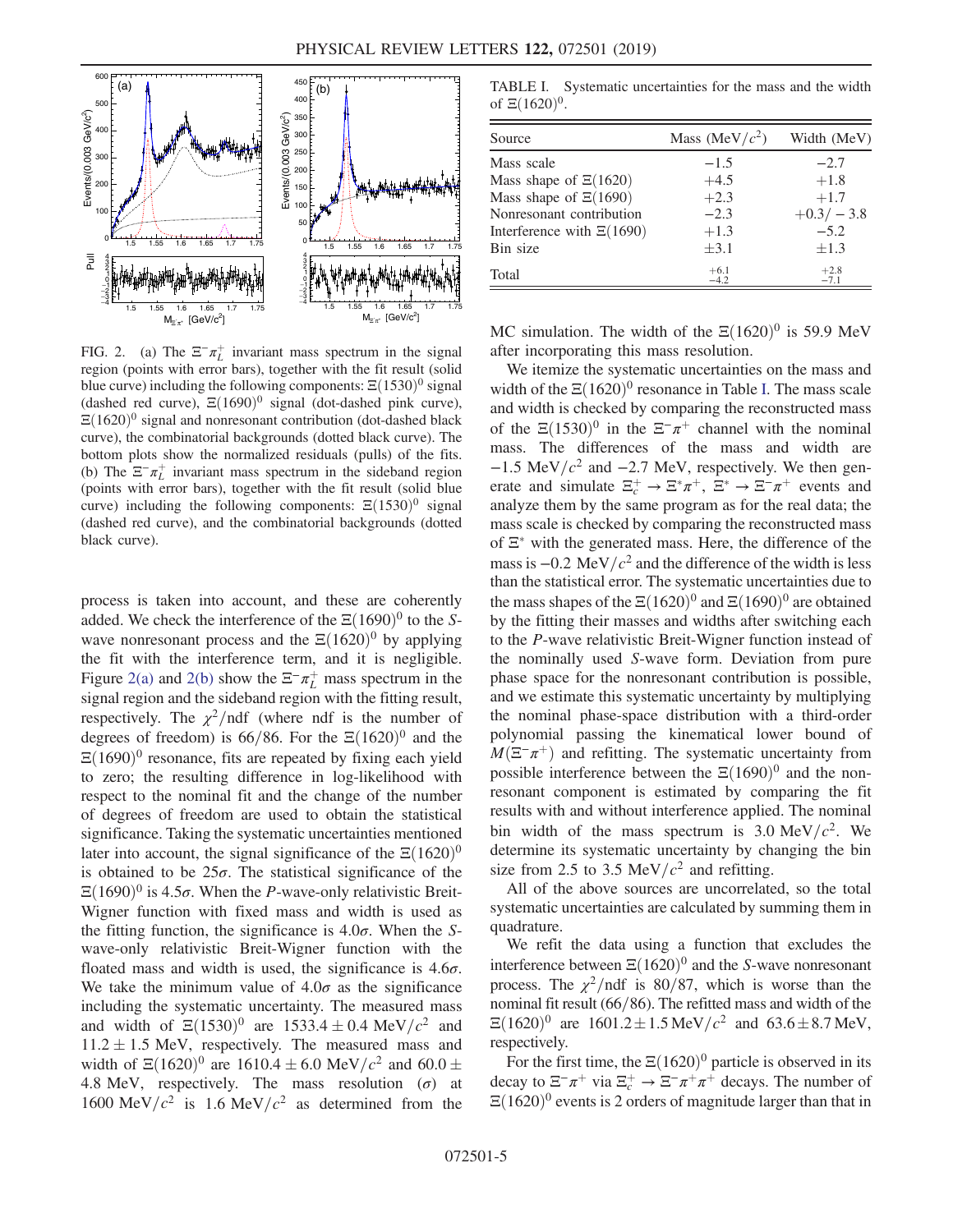<span id="page-4-0"></span>

FIG. 2. (a) The  $\Xi^{-} \pi^{+}$  invariant mass spectrum in the signal region (points with error bars), together with the fit result (solid blue curve) including the following components:  $\Xi(1530)^0$  signal (dashed red curve),  $\Xi(1690)^0$  signal (dot-dashed pink curve),  $\Xi(1620)^{0}$  signal and nonresonant contribution (dot-dashed black curve), the combinatorial backgrounds (dotted black curve). The bottom plots show the normalized residuals (pulls) of the fits. (b) The  $\Xi^{-}\pi^{+}_{L}$  invariant mass spectrum in the sideband region (points with error bars), together with the fit result (solid blue curve) including the following components:  $\Xi(1530)^0$  signal (dashed red curve), and the combinatorial backgrounds (dotted black curve).

process is taken into account, and these are coherently added. We check the interference of the  $\Xi(1690)^{0}$  to the Swave nonresonant process and the  $\Xi(1620)^{0}$  by applying the fit with the interference term, and it is negligible. Figure [2\(a\)](#page-4-0) and [2\(b\)](#page-4-0) show the  $\Xi^-\pi^+$  mass spectrum in the signal region and the sideband region with the fitting result, respectively. The  $\chi^2$ /ndf (where ndf is the number of degrees of freedom) is 66/86. For the  $\Xi(1620)^{0}$  and the  $\Xi(1690)^0$  resonance, fits are repeated by fixing each yield to zero; the resulting difference in log-likelihood with respect to the nominal fit and the change of the number of degrees of freedom are used to obtain the statistical significance. Taking the systematic uncertainties mentioned later into account, the signal significance of the  $\Xi(1620)^{0}$ is obtained to be  $25\sigma$ . The statistical significance of the  $\Xi(1690)^0$  is 4.5 $\sigma$ . When the *P*-wave-only relativistic Breit-Wigner function with fixed mass and width is used as the fitting function, the significance is  $4.0\sigma$ . When the Swave-only relativistic Breit-Wigner function with the floated mass and width is used, the significance is  $4.6\sigma$ . We take the minimum value of  $4.0\sigma$  as the significance including the systematic uncertainty. The measured mass and width of  $\Xi(1530)^0$  are  $1533.4 \pm 0.4$  MeV/ $c^2$  and  $11.2 + 1.5$  MeV respectively. The measured mass and  $11.2 \pm 1.5$  MeV, respectively. The measured mass and<br>width of  $\Xi(1620)^0$  are  $1610.4 \pm 6.0$  MeV/ $c^2$  and 60.0  $\pm$ width of  $\Xi(1620)^0$  are  $1610.4 \pm 6.0$  MeV/ $c^2$  and  $60.0 \pm 4.8$  MeV respectively. The mass resolution ( $\sigma$ ) at 4.8 MeV, respectively. The mass resolution  $(\sigma)$  at 1600 MeV/ $c^2$  is 1.6 MeV/ $c^2$  as determined from the

<span id="page-4-1"></span>TABLE I. Systematic uncertainties for the mass and the width of  $\Xi(1620)^{0}$ .

| Source                        | Mass (MeV/ $c2$ ) | Width (MeV)      |
|-------------------------------|-------------------|------------------|
| Mass scale                    | $-1.5$            | $-2.7$           |
| Mass shape of $\Xi(1620)$     | $+4.5$            | $+1.8$           |
| Mass shape of $\Xi(1690)$     | $+2.3$            | $+1.7$           |
| Nonresonant contribution      | $-2.3$            | $+0.3/-3.8$      |
| Interference with $\Xi(1690)$ | $+1.3$            | $-5.2$           |
| Bin size                      | $\pm 3.1$         | $\pm 1.3$        |
| Total                         | $+6.1$<br>$-4.2$  | $+2.8$<br>$-7.1$ |

MC simulation. The width of the  $\Xi(1620)^0$  is 59.9 MeV after incorporating this mass resolution.

We itemize the systematic uncertainties on the mass and width of the  $\Xi(1620)^0$  resonance in Table [I.](#page-4-1) The mass scale and width is checked by comparing the reconstructed mass of the  $\Xi(1530)^0$  in the  $\Xi^-\pi^+$  channel with the nominal mass. The differences of the mass and width are  $-1.5$  MeV/ $c^2$  and  $-2.7$  MeV, respectively. We then generate and simulate  $\Xi_c^+ \to \Xi^* \pi^+$ ,  $\Xi^* \to \Xi^- \pi^+$  events and analyze them by the same program as for the real data; the mass scale is checked by comparing the reconstructed mass of  $\Xi^*$  with the generated mass. Here, the difference of the mass is  $-0.2 \text{ MeV}/c^2$  and the difference of the width is less than the statistical error. The systematic uncertainties due to the mass shapes of the  $\Xi(1620)^{0}$  and  $\Xi(1690)^{0}$  are obtained by the fitting their masses and widths after switching each to the P-wave relativistic Breit-Wigner function instead of the nominally used S-wave form. Deviation from pure phase space for the nonresonant contribution is possible, and we estimate this systematic uncertainty by multiplying the nominal phase-space distribution with a third-order polynomial passing the kinematical lower bound of  $M(\Xi^-\pi^+)$  and refitting. The systematic uncertainty from possible interference between the  $\Xi(1690)^{0}$  and the nonresonant component is estimated by comparing the fit results with and without interference applied. The nominal bin width of the mass spectrum is  $3.0 \text{ MeV}/c^2$ . We determine its systematic uncertainty by changing the bin size from 2.5 to 3.5 MeV/ $c^2$  and refitting.

All of the above sources are uncorrelated, so the total systematic uncertainties are calculated by summing them in quadrature.

We refit the data using a function that excludes the interference between  $\Xi(1620)^{0}$  and the S-wave nonresonant process. The  $\chi^2$ /ndf is 80/87, which is worse than the nominal fit result  $(66/86)$ . The refitted mass and width of the  $\Xi(1620)^0$  are  $1601.2 \pm 1.5 \,\text{MeV}/c^2$  and  $63.6 \pm 8.7 \,\text{MeV}$ ,<br>respectively respectively.

For the first time, the  $\Xi(1620)^{0}$  particle is observed in its decay to  $\Xi^-\pi^+$  via  $\Xi_c^+\to \Xi^-\pi^+\pi^+$  decays. The number of  $\Xi(1620)^{0}$  events is 2 orders of magnitude larger than that in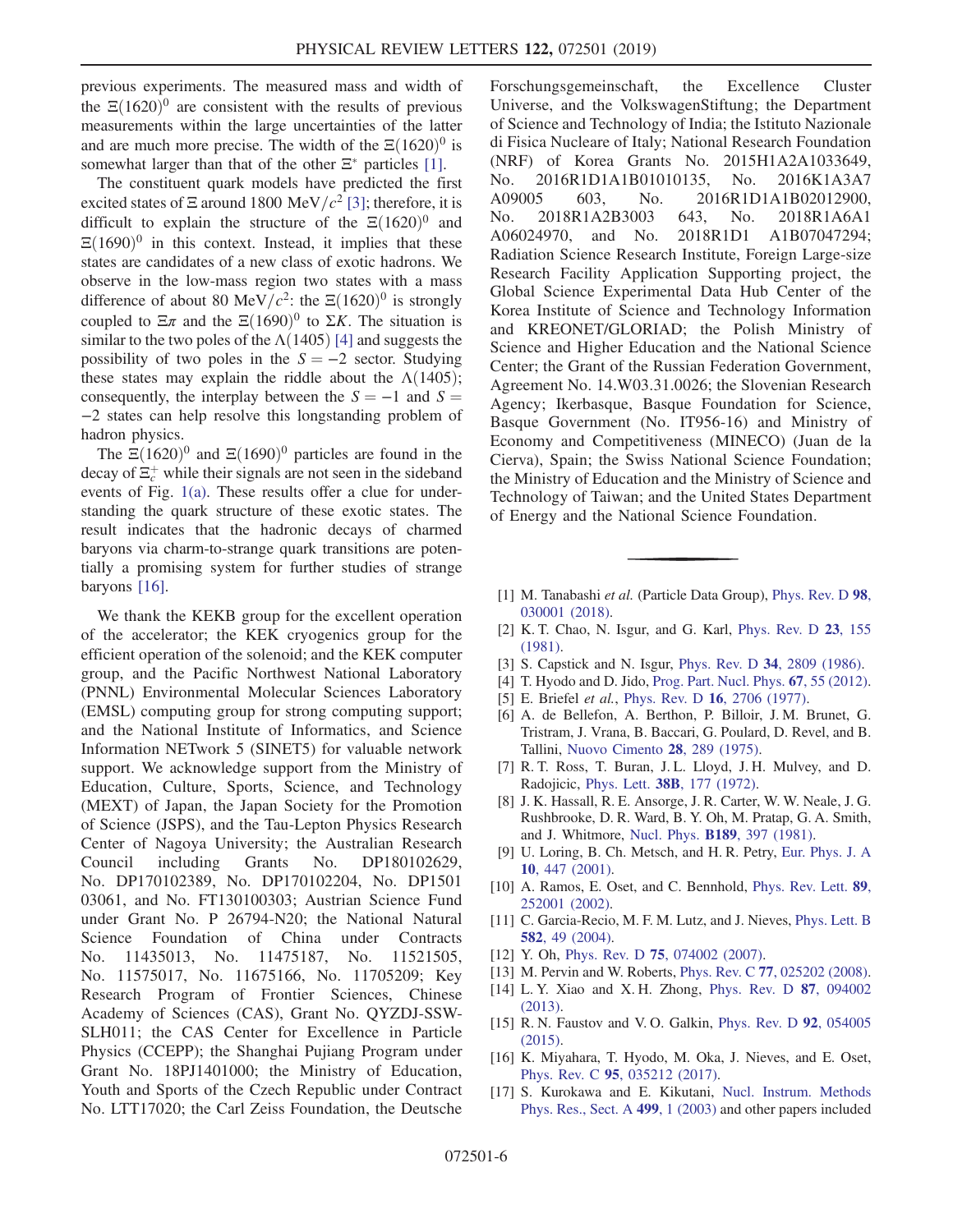previous experiments. The measured mass and width of the  $\Xi(1620)^0$  are consistent with the results of previous measurements within the large uncertainties of the latter and are much more precise. The width of the  $\Xi(1620)^0$  is somewhat larger than that of the other  $\Xi^*$  particles [\[1\].](#page-5-0)

The constituent quark models have predicted the first excited states of  $\Xi$  around 1800 MeV/ $c^2$  [\[3\];](#page-5-6) therefore, it is difficult to explain the structure of the  $\Xi(1620)^{0}$  and  $\Xi(1690)^0$  in this context. Instead, it implies that these states are candidates of a new class of exotic hadrons. We observe in the low-mass region two states with a mass difference of about 80 MeV/ $c^2$ : the  $\Xi(1620)^0$  is strongly coupled to  $\Xi \pi$  and the  $\Xi (1690)^0$  to  $\Sigma K$ . The situation is similar to the two poles of the  $\Lambda(1405)$  [\[4\]](#page-5-1) and suggests the possibility of two poles in the  $S = -2$  sector. Studying these states may explain the riddle about the  $\Lambda(1405)$ ; consequently, the interplay between the  $S = -1$  and  $S =$ −2 states can help resolve this longstanding problem of hadron physics.

The  $\Xi(1620)^0$  and  $\Xi(1690)^0$  particles are found in the decay of  $\Xi_c^+$  while their signals are not seen in the sideband events of Fig. [1\(a\).](#page-3-0) These results offer a clue for understanding the quark structure of these exotic states. The result indicates that the hadronic decays of charmed baryons via charm-to-strange quark transitions are potentially a promising system for further studies of strange baryons [\[16\].](#page-5-7)

We thank the KEKB group for the excellent operation of the accelerator; the KEK cryogenics group for the efficient operation of the solenoid; and the KEK computer group, and the Pacific Northwest National Laboratory (PNNL) Environmental Molecular Sciences Laboratory (EMSL) computing group for strong computing support; and the National Institute of Informatics, and Science Information NETwork 5 (SINET5) for valuable network support. We acknowledge support from the Ministry of Education, Culture, Sports, Science, and Technology (MEXT) of Japan, the Japan Society for the Promotion of Science (JSPS), and the Tau-Lepton Physics Research Center of Nagoya University; the Australian Research Council including Grants No. DP180102629, No. DP170102389, No. DP170102204, No. DP1501 03061, and No. FT130100303; Austrian Science Fund under Grant No. P 26794-N20; the National Natural Science Foundation of China under Contracts No. 11435013, No. 11475187, No. 11521505, No. 11575017, No. 11675166, No. 11705209; Key Research Program of Frontier Sciences, Chinese Academy of Sciences (CAS), Grant No. QYZDJ-SSW-SLH011; the CAS Center for Excellence in Particle Physics (CCEPP); the Shanghai Pujiang Program under Grant No. 18PJ1401000; the Ministry of Education, Youth and Sports of the Czech Republic under Contract No. LTT17020; the Carl Zeiss Foundation, the Deutsche

Forschungsgemeinschaft, the Excellence Cluster Universe, and the VolkswagenStiftung; the Department of Science and Technology of India; the Istituto Nazionale di Fisica Nucleare of Italy; National Research Foundation (NRF) of Korea Grants No. 2015H1A2A1033649, No. 2016R1D1A1B01010135, No. 2016K1A3A7 A09005 603, No. 2016R1D1A1B02012900, No. 2018R1A2B3003 643, No. 2018R1A6A1 A06024970, and No. 2018R1D1 A1B07047294; Radiation Science Research Institute, Foreign Large-size Research Facility Application Supporting project, the Global Science Experimental Data Hub Center of the Korea Institute of Science and Technology Information and KREONET/GLORIAD; the Polish Ministry of Science and Higher Education and the National Science Center; the Grant of the Russian Federation Government, Agreement No. 14.W03.31.0026; the Slovenian Research Agency; Ikerbasque, Basque Foundation for Science, Basque Government (No. IT956-16) and Ministry of Economy and Competitiveness (MINECO) (Juan de la Cierva), Spain; the Swiss National Science Foundation; the Ministry of Education and the Ministry of Science and Technology of Taiwan; and the United States Department of Energy and the National Science Foundation.

- <span id="page-5-0"></span>[1] M. Tanabashi et al. (Particle Data Group), [Phys. Rev. D](https://doi.org/10.1103/PhysRevD.98.030001) 98, [030001 \(2018\).](https://doi.org/10.1103/PhysRevD.98.030001)
- <span id="page-5-6"></span>[2] K. T. Chao, N. Isgur, and G. Karl, [Phys. Rev. D](https://doi.org/10.1103/PhysRevD.23.155) 23, 155 [\(1981\).](https://doi.org/10.1103/PhysRevD.23.155)
- <span id="page-5-2"></span><span id="page-5-1"></span>[3] S. Capstick and N. Isgur, Phys. Rev. D 34[, 2809 \(1986\)](https://doi.org/10.1103/PhysRevD.34.2809).
- [4] T. Hyodo and D. Jido, [Prog. Part. Nucl. Phys.](https://doi.org/10.1016/j.ppnp.2011.07.002) **67**, 55 (2012).
- [5] E. Briefel et al., Phys. Rev. D 16[, 2706 \(1977\)](https://doi.org/10.1103/PhysRevD.16.2706).
- [6] A. de Bellefon, A. Berthon, P. Billoir, J. M. Brunet, G. Tristram, J. Vrana, B. Baccari, G. Poulard, D. Revel, and B. Tallini, [Nuovo Cimento](https://doi.org/10.1007/BF02729820) 28, 289 (1975).
- <span id="page-5-3"></span>[7] R. T. Ross, T. Buran, J. L. Lloyd, J. H. Mulvey, and D. Radojicic, Phys. Lett. 38B[, 177 \(1972\).](https://doi.org/10.1016/0370-2693(72)90043-3)
- <span id="page-5-4"></span>[8] J. K. Hassall, R. E. Ansorge, J. R. Carter, W. W. Neale, J. G. Rushbrooke, D. R. Ward, B. Y. Oh, M. Pratap, G. A. Smith, and J. Whitmore, Nucl. Phys. B189[, 397 \(1981\)](https://doi.org/10.1016/0550-3213(81)90572-1).
- [9] U. Loring, B. Ch. Metsch, and H. R. Petry, [Eur. Phys. J. A](https://doi.org/10.1007/s100500170106) 10[, 447 \(2001\).](https://doi.org/10.1007/s100500170106)
- [10] A. Ramos, E. Oset, and C. Bennhold, [Phys. Rev. Lett.](https://doi.org/10.1103/PhysRevLett.89.252001) 89, [252001 \(2002\).](https://doi.org/10.1103/PhysRevLett.89.252001)
- [11] C. Garcia-Recio, M. F. M. Lutz, and J. Nieves, [Phys. Lett. B](https://doi.org/10.1016/j.physletb.2003.11.073) 582[, 49 \(2004\).](https://doi.org/10.1016/j.physletb.2003.11.073)
- [12] Y. Oh, Phys. Rev. D **75**[, 074002 \(2007\)](https://doi.org/10.1103/PhysRevD.75.074002).
- [13] M. Pervin and W. Roberts, *Phys. Rev. C* 77[, 025202 \(2008\).](https://doi.org/10.1103/PhysRevC.77.025202)
- [14] L. Y. Xiao and X. H. Zhong, [Phys. Rev. D](https://doi.org/10.1103/PhysRevD.87.094002) 87, 094002 [\(2013\).](https://doi.org/10.1103/PhysRevD.87.094002)
- <span id="page-5-7"></span>[15] R. N. Faustov and V. O. Galkin, *[Phys. Rev. D](https://doi.org/10.1103/PhysRevD.92.054005)* 92, 054005 [\(2015\).](https://doi.org/10.1103/PhysRevD.92.054005)
- <span id="page-5-5"></span>[16] K. Miyahara, T. Hyodo, M. Oka, J. Nieves, and E. Oset, Phys. Rev. C 95[, 035212 \(2017\).](https://doi.org/10.1103/PhysRevC.95.035212)
- [17] S. Kurokawa and E. Kikutani, [Nucl. Instrum. Methods](https://doi.org/10.1016/S0168-9002(02)01771-0) [Phys. Res., Sect. A](https://doi.org/10.1016/S0168-9002(02)01771-0) 499, 1 (2003) and other papers included